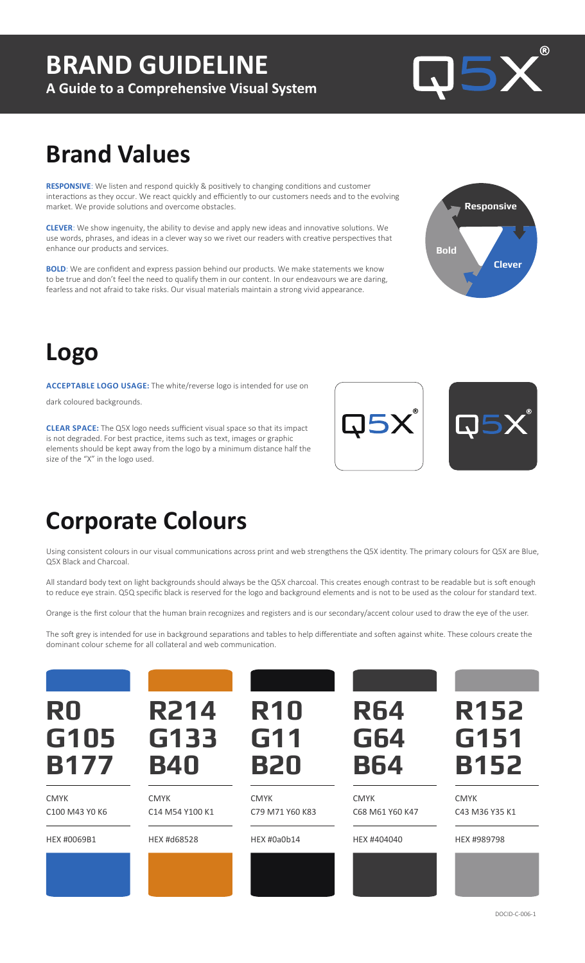# **BRAND GUIDELINE**

**A Guide to a Comprehensive Visual System**



# **Brand Values**

**RESPONSIVE**: We listen and respond quickly & positively to changing conditions and customer interactions as they occur. We react quickly and efficiently to our customers needs and to the evolving market. We provide solutions and overcome obstacles.

**CLEVER**: We show ingenuity, the ability to devise and apply new ideas and innovative solutions. We use words, phrases, and ideas in a clever way so we rivet our readers with creative perspectives that enhance our products and services.

**BOLD**: We are confident and express passion behind our products. We make statements we know to be true and don't feel the need to qualify them in our content. In our endeavours we are daring, fearless and not afraid to take risks. Our visual materials maintain a strong vivid appearance.



# **Logo**

**ACCEPTABLE LOGO USAGE:** The white/reverse logo is intended for use on dark coloured backgrounds.

**CLEAR SPACE:** The Q5X logo needs sufficient visual space so that its impact is not degraded. For best practice, items such as text, images or graphic elements should be kept away from the logo by a minimum distance half the size of the "X" in the logo used.





## **Corporate Colours**

Using consistent colours in our visual communications across print and web strengthens the Q5X identity. The primary colours for Q5X are Blue, Q5X Black and Charcoal.

All standard body text on light backgrounds should always be the Q5X charcoal. This creates enough contrast to be readable but is soft enough to reduce eye strain. Q5Q specific black is reserved for the logo and background elements and is not to be used as the colour for standard text.

Orange is the first colour that the human brain recognizes and registers and is our secondary/accent colour used to draw the eye of the user.

The soft grey is intended for use in background separations and tables to help differentiate and soften against white. These colours create the dominant colour scheme for all collateral and web communication.

| R0<br>G105<br><b>B177</b>     | <b>R214</b><br>G133<br><b>B40</b> | <b>R10</b><br>G11<br><b>B20</b> | <b>R64</b><br><b>G64</b><br><b>B64</b> | <b>R152</b><br>G151<br><b>B152</b> |
|-------------------------------|-----------------------------------|---------------------------------|----------------------------------------|------------------------------------|
| <b>CMYK</b><br>C100 M43 Y0 K6 | <b>CMYK</b><br>C14 M54 Y100 K1    | <b>CMYK</b><br>C79 M71 Y60 K83  | <b>CMYK</b><br>C68 M61 Y60 K47         | <b>CMYK</b><br>C43 M36 Y35 K1      |
| HEX #0069B1                   | HEX #d68528                       | HEX #0a0b14                     | HEX #404040                            | HEX #989798                        |
|                               |                                   |                                 |                                        |                                    |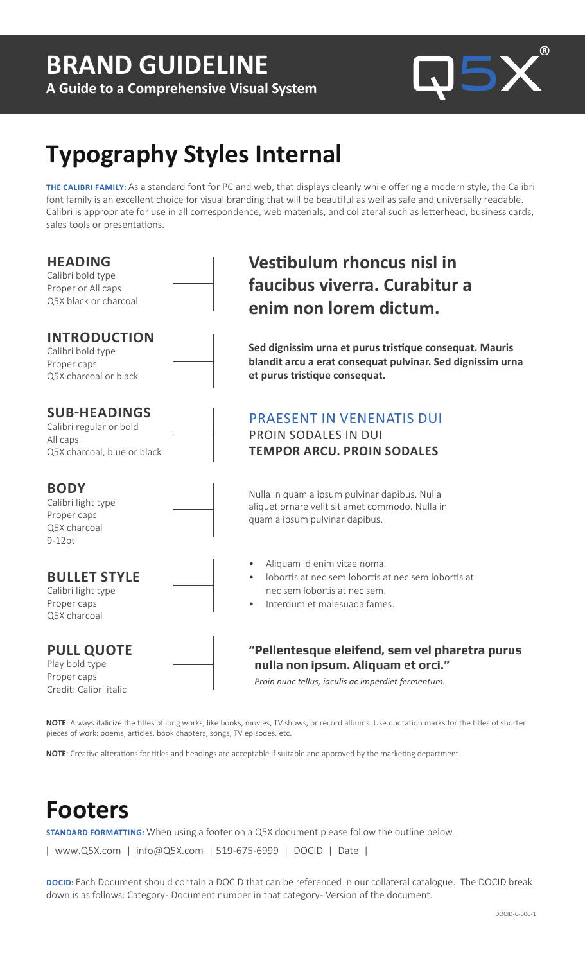# **BRAND GUIDELINE**

**A Guide to a Comprehensive Visual System**



# **Typography Styles Internal**

**THE CALIBRI FAMILY:** As a standard font for PC and web, that displays cleanly while offering a modern style, the Calibri font family is an excellent choice for visual branding that will be beautiful as well as safe and universally readable. Calibri is appropriate for use in all correspondence, web materials, and collateral such as letterhead, business cards, sales tools or presentations.

| <b>HEADING</b><br>Calibri bold type<br>Proper or All caps<br>Q5X black or charcoal        | <b>Vestibulum rhoncus nisl in</b><br>faucibus viverra. Curabitur a<br>enim non lorem dictum.                                                                    |
|-------------------------------------------------------------------------------------------|-----------------------------------------------------------------------------------------------------------------------------------------------------------------|
| <b>INTRODUCTION</b><br>Calibri bold type<br>Proper caps<br>Q5X charcoal or black          | Sed dignissim urna et purus tristique consequat. Mauris<br>blandit arcu a erat consequat pulvinar. Sed dignissim urna<br>et purus tristique consequat.          |
| <b>SUB-HEADINGS</b><br>Calibri regular or bold<br>All caps<br>Q5X charcoal, blue or black | <b>PRAESENT IN VENENATIS DUI</b><br><b>PROIN SODALES IN DUI</b><br><b>TEMPOR ARCU. PROIN SODALES</b>                                                            |
| <b>BODY</b><br>Calibri light type<br>Proper caps<br>Q5X charcoal<br>$9-12pt$              | Nulla in quam a ipsum pulvinar dapibus. Nulla<br>aliquet ornare velit sit amet commodo. Nulla in<br>quam a ipsum pulvinar dapibus.                              |
| <b>BULLET STYLE</b><br>Calibri light type<br>Proper caps<br>Q5X charcoal                  | Aliquam id enim vitae noma.<br>lobortis at nec sem lobortis at nec sem lobortis at<br>$\bullet$<br>nec sem lobortis at nec sem.<br>Interdum et malesuada fames. |
| <b>PULL QUOTE</b><br>Play bold type<br>Proper caps<br>Credit: Calibri italic              | "Pellentesque eleifend, sem vel pharetra purus<br>nulla non ipsum. Aliquam et orci."<br>Proin nunc tellus, iaculis ac imperdiet fermentum.                      |
| pieces of work: poems, articles, book chapters, songs, TV episodes, etc.                  | NOTE: Always italicize the titles of long works, like books, movies, TV shows, or record albums. Use quotation marks for the titles of shorter                  |

**NOTE**: Creative alterations for titles and headings are acceptable if suitable and approved by the marketing department.

## **Footers**

**STANDARD FORMATTING:** When using a footer on a Q5X document please follow the outline below.

| www.Q5X.com | info@Q5X.com | 519-675-6999 | DOCID | Date |

**DOCID:** Each Document should contain a DOCID that can be referenced in our collateral catalogue. The DOCID break down is as follows: Category- Document number in that category- Version of the document.